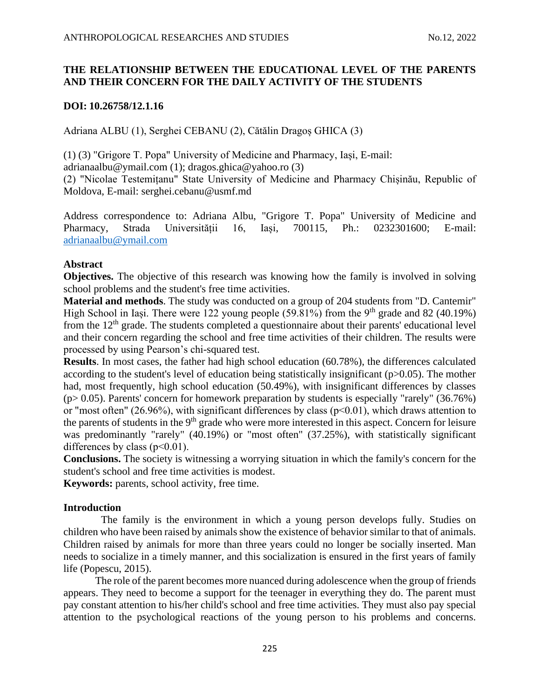# **THE RELATIONSHIP BETWEEN THE EDUCATIONAL LEVEL OF THE PARENTS AND THEIR CONCERN FOR THE DAILY ACTIVITY OF THE STUDENTS**

# **DOI: 10.26758/12.1.16**

Adriana ALBU (1), Serghei CEBANU (2), Cătălin Dragoș GHICA (3)

(1) (3) "Grigore T. Popa" University of Medicine and Pharmacy, Iași, E-mail:

[adrianaalbu@ymail.com](mailto:adrianaalbu@ymail.com) (1); dragos.ghica@yahoo.ro (3)

(2) "Nicolae Testemițanu" State University of Medicine and Pharmacy Chișinău, Republic of Moldova, E-mail: [serghei.cebanu@usmf.md](mailto:serghei.cebanu@usmf.md)

Address correspondence to: Adriana Albu, "Grigore T. Popa" University of Medicine and Pharmacy, Strada Universității 16, Iași, 700115, Ph.: [0232301600;](https://www.google.com/search?client=firefox-b-d&q=%22Grigore+T.+Popa%22+University+of+Medicine+and+Pharmacy%2C+Ia%C8%99i) E-mail: [adrianaalbu@ymail.com](mailto:adrianaalbu@ymail.com)

# **Abstract**

**Objectives.** The objective of this research was knowing how the family is involved in solving school problems and the student's free time activities.

**Material and methods**. The study was conducted on a group of 204 students from "D. Cantemir" High School in Iași. There were 122 young people (59.81%) from the 9<sup>th</sup> grade and 82 (40.19%) from the  $12<sup>th</sup>$  grade. The students completed a questionnaire about their parents' educational level and their concern regarding the school and free time activities of their children. The results were processed by using Pearson's chi-squared test.

**Results**. In most cases, the father had high school education (60.78%), the differences calculated according to the student's level of education being statistically insignificant (p>0.05). The mother had, most frequently, high school education (50.49%), with insignificant differences by classes  $(p> 0.05)$ . Parents' concern for homework preparation by students is especially "rarely" (36.76%) or "most often" (26.96%), with significant differences by class ( $p<0.01$ ), which draws attention to the parents of students in the 9<sup>th</sup> grade who were more interested in this aspect. Concern for leisure was predominantly "rarely" (40.19%) or "most often" (37.25%), with statistically significant differences by class (p˂0.01).

**Conclusions.** The society is witnessing a worrying situation in which the family's concern for the student's school and free time activities is modest.

**Keywords:** parents, school activity, free time.

# **Introduction**

The family is the environment in which a young person develops fully. Studies on children who have been raised by animals show the existence of behavior similar to that of animals. Children raised by animals for more than three years could no longer be socially inserted. Man needs to socialize in a timely manner, and this socialization is ensured in the first years of family life (Popescu, 2015).

The role of the parent becomes more nuanced during adolescence when the group of friends appears. They need to become a support for the teenager in everything they do. The parent must pay constant attention to his/her child's school and free time activities. They must also pay special attention to the psychological reactions of the young person to his problems and concerns.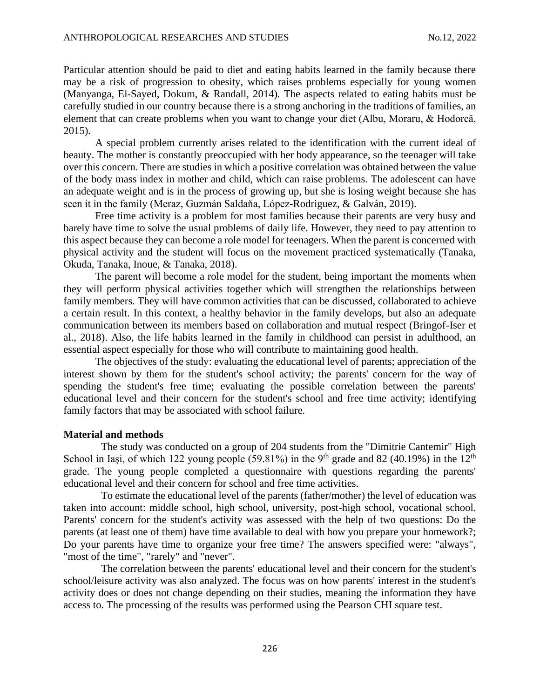Particular attention should be paid to diet and eating habits learned in the family because there may be a risk of progression to obesity, which raises problems especially for young women (Manyanga, El-Sayed, Dokum, & Randall, 2014). The aspects related to eating habits must be carefully studied in our country because there is a strong anchoring in the traditions of families, an element that can create problems when you want to change your diet (Albu, Moraru, & Hodorcă, 2015).

A special problem currently arises related to the identification with the current ideal of beauty. The mother is constantly preoccupied with her body appearance, so the teenager will take over this concern. There are studies in which a positive correlation was obtained between the value of the body mass index in mother and child, which can raise problems. The adolescent can have an adequate weight and is in the process of growing up, but she is losing weight because she has seen it in the family (Meraz, Guzmán Saldaňa, López-Rodriguez, & Galván, 2019).

Free time activity is a problem for most families because their parents are very busy and barely have time to solve the usual problems of daily life. However, they need to pay attention to this aspect because they can become a role model for teenagers. When the parent is concerned with physical activity and the student will focus on the movement practiced systematically (Tanaka, Okuda, Tanaka, Inoue, & Tanaka, 2018).

The parent will become a role model for the student, being important the moments when they will perform physical activities together which will strengthen the relationships between family members. They will have common activities that can be discussed, collaborated to achieve a certain result. In this context, a healthy behavior in the family develops, but also an adequate communication between its members based on collaboration and mutual respect (Bringof-Iser et al., 2018). Also, the life habits learned in the family in childhood can persist in adulthood, an essential aspect especially for those who will contribute to maintaining good health.

The objectives of the study: evaluating the educational level of parents; appreciation of the interest shown by them for the student's school activity; the parents' concern for the way of spending the student's free time; evaluating the possible correlation between the parents' educational level and their concern for the student's school and free time activity; identifying family factors that may be associated with school failure.

### **Material and methods**

The study was conducted on a group of 204 students from the "Dimitrie Cantemir" High School in Iași, of which 122 young people (59.81%) in the 9<sup>th</sup> grade and 82 (40.19%) in the 12<sup>th</sup> grade. The young people completed a questionnaire with questions regarding the parents' educational level and their concern for school and free time activities.

To estimate the educational level of the parents (father/mother) the level of education was taken into account: middle school, high school, university, post-high school, vocational school. Parents' concern for the student's activity was assessed with the help of two questions: Do the parents (at least one of them) have time available to deal with how you prepare your homework?; Do your parents have time to organize your free time? The answers specified were: "always", "most of the time", "rarely" and "never".

The correlation between the parents' educational level and their concern for the student's school/leisure activity was also analyzed. The focus was on how parents' interest in the student's activity does or does not change depending on their studies, meaning the information they have access to. The processing of the results was performed using the Pearson CHI square test.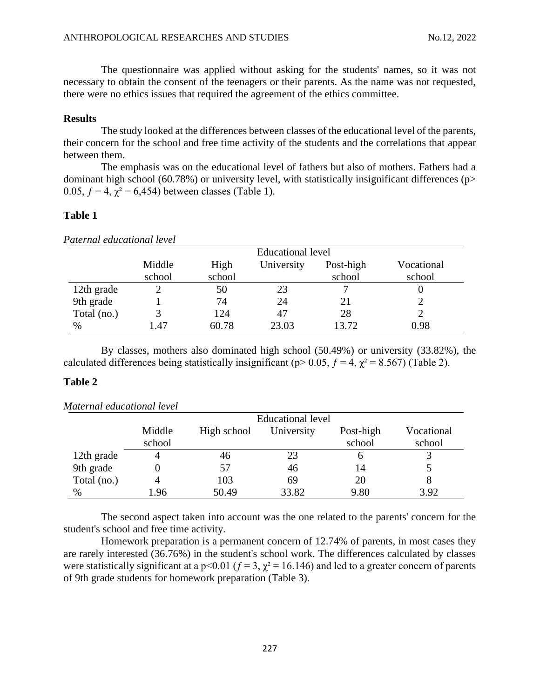The questionnaire was applied without asking for the students' names, so it was not necessary to obtain the consent of the teenagers or their parents. As the name was not requested, there were no ethics issues that required the agreement of the ethics committee.

#### **Results**

The study looked at the differences between classes of the educational level of the parents, their concern for the school and free time activity of the students and the correlations that appear between them.

The emphasis was on the educational level of fathers but also of mothers. Fathers had a dominant high school (60.78%) or university level, with statistically insignificant differences (p> 0.05,  $f = 4$ ,  $\chi^2 = 6,454$ ) between classes (Table 1).

# **Table 1**

| Paternal educational level |        |        |                          |           |            |
|----------------------------|--------|--------|--------------------------|-----------|------------|
|                            |        |        | <b>Educational level</b> |           |            |
|                            | Middle | High   | University               | Post-high | Vocational |
|                            | school | school |                          | school    | school     |
| 12th grade                 |        | 50     | 23                       |           |            |
| 9th grade                  |        | 74     | 24                       | 21        |            |
| Total (no.)                |        | 124    | 47                       | 28        |            |
| %                          | 1.47   | 60.78  | 23.03                    | 13.72     | 0.98       |

By classes, mothers also dominated high school (50.49%) or university (33.82%), the calculated differences being statistically insignificant ( $p > 0.05$ ,  $f = 4$ ,  $\chi^2 = 8.567$ ) (Table 2).

### **Table 2**

|             | <b>Educational level</b> |             |            |                     |                      |  |  |
|-------------|--------------------------|-------------|------------|---------------------|----------------------|--|--|
|             | Middle<br>school         | High school | University | Post-high<br>school | Vocational<br>school |  |  |
| 12th grade  |                          | 46          | 23         |                     |                      |  |  |
| 9th grade   |                          | 57          | 46         | 14                  |                      |  |  |
| Total (no.) |                          | 103         | 69         | 20                  |                      |  |  |
| $\%$        | .96                      | 50.49       | 33.82      | 9.80                | 3.92                 |  |  |

# *Maternal educational level*

The second aspect taken into account was the one related to the parents' concern for the student's school and free time activity.

Homework preparation is a permanent concern of 12.74% of parents, in most cases they are rarely interested (36.76%) in the student's school work. The differences calculated by classes were statistically significant at a p<0.01 ( $f = 3$ ,  $\chi^2 = 16.146$ ) and led to a greater concern of parents of 9th grade students for homework preparation (Table 3).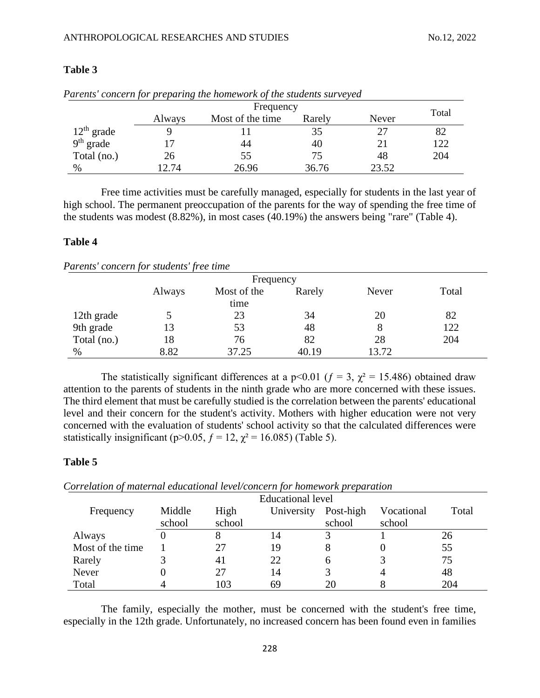|              |           | arents concern for preparing the nomework of the students surveyed |        |       |       |  |
|--------------|-----------|--------------------------------------------------------------------|--------|-------|-------|--|
|              | Frequency |                                                                    |        |       |       |  |
|              | Always    | Most of the time                                                   | Rarely | Never | Total |  |
| $12th$ grade |           |                                                                    | 35     | 27    | 82    |  |
| $9th$ grade  |           | 44                                                                 | 40     |       | 122   |  |
| Total (no.)  | 26        | 55                                                                 | 75     | 48    | 204   |  |
| $\%$         | .2.74     | 26.96                                                              | 36.76  | 23.52 |       |  |

# **Table 3**

| Parents' concern for preparing the homework of the students surveyed |  |
|----------------------------------------------------------------------|--|
|----------------------------------------------------------------------|--|

Free time activities must be carefully managed, especially for students in the last year of high school. The permanent preoccupation of the parents for the way of spending the free time of the students was modest (8.82%), in most cases (40.19%) the answers being "rare" (Table 4).

# **Table 4**

*Parents' concern for students' free time*

|             |        | Frequency   |        |       |       |
|-------------|--------|-------------|--------|-------|-------|
|             | Always | Most of the | Rarely | Never | Total |
|             |        | time        |        |       |       |
| 12th grade  |        | 23          | 34     | 20    | 82    |
| 9th grade   | 13     | 53          | 48     | 8     | 122   |
| Total (no.) | 18     | 76          | 82     | 28    | 204   |
| %           | 8.82   | 37.25       | 40.19  | 13.72 |       |

The statistically significant differences at a p<0.01 ( $f = 3$ ,  $\chi^2 = 15.486$ ) obtained draw attention to the parents of students in the ninth grade who are more concerned with these issues. The third element that must be carefully studied is the correlation between the parents' educational level and their concern for the student's activity. Mothers with higher education were not very concerned with the evaluation of students' school activity so that the calculated differences were statistically insignificant (p>0.05,  $f = 12$ ,  $\chi^2 = 16.085$ ) (Table 5).

# **Table 5**

Frequency Educational level Middle High University Post-high Vocational Total school High school school Vocational school Always 0 8 14 3 1 26 Most of the time 1 27 19 8 0 55 Rarely 3 41 22 6 3 75 Never 0 27 14 3 48 Total 4 103 69 20 8 204

*Correlation of maternal educational level/concern for homework preparation*

The family, especially the mother, must be concerned with the student's free time, especially in the 12th grade. Unfortunately, no increased concern has been found even in families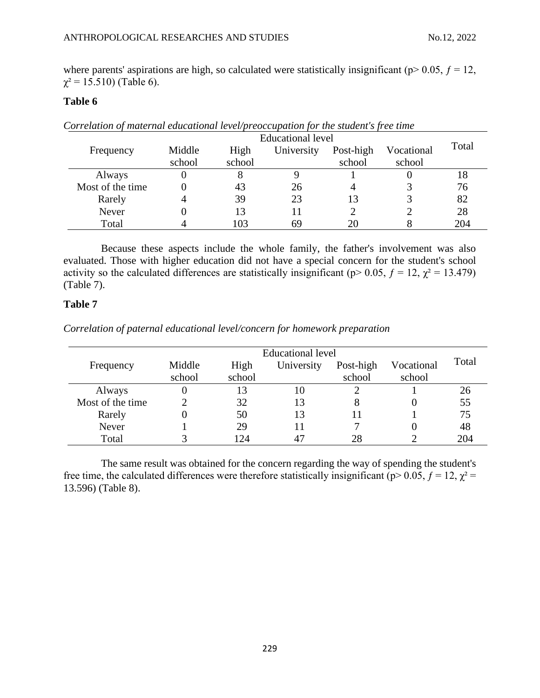where parents' aspirations are high, so calculated were statistically insignificant ( $p$  > 0.05,  $f$  = 12,  $\chi^2$  = 15.510) (Table 6).

# **Table 6**

|                  | Educational level |        |            |           |            |       |
|------------------|-------------------|--------|------------|-----------|------------|-------|
| Frequency        | Middle            | High   | University | Post-high | Vocational | Total |
|                  | school            | school |            | school    | school     |       |
| Always           |                   |        |            |           |            | 18    |
| Most of the time |                   | 43     | 26         | 4         |            | 76    |
| Rarely           |                   | 39     | 23         | 13        |            | 82    |
| Never            |                   | 13     |            |           |            | 28    |
| Total            |                   | 103    | 69         | 20        |            | 204   |

*Correlation of maternal educational level/preoccupation for the student's free time*

Because these aspects include the whole family, the father's involvement was also evaluated. Those with higher education did not have a special concern for the student's school activity so the calculated differences are statistically insignificant ( $p$  > 0.05,  $f = 12$ ,  $\chi^2 = 13.479$ ) (Table 7).

# **Table 7**

*Correlation of paternal educational level/concern for homework preparation*

|                  | Educational level |        |            |           |            |       |
|------------------|-------------------|--------|------------|-----------|------------|-------|
| Frequency        | Middle            | High   | University | Post-high | Vocational | Total |
|                  | school            | school |            | school    | school     |       |
| Always           |                   | 13     | 10         |           |            | 26    |
| Most of the time |                   | 32     | 13         |           |            | 55    |
| Rarely           |                   | 50     | 13         |           |            | 75    |
| Never            |                   | 29     |            |           |            | 48    |
| Total            |                   | 24     |            | 28        |            | 204   |

The same result was obtained for the concern regarding the way of spending the student's free time, the calculated differences were therefore statistically insignificant ( $p > 0.05$ ,  $f = 12$ ,  $\chi^2 =$ 13.596) (Table 8).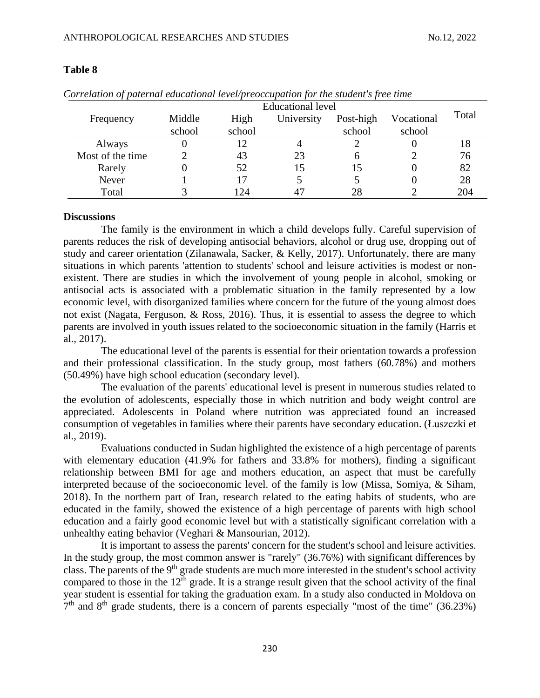|                  | <b>Educational level</b> |                |            |                     |                      |       |
|------------------|--------------------------|----------------|------------|---------------------|----------------------|-------|
| Frequency        | Middle<br>school         | High<br>school | University | Post-high<br>school | Vocational<br>school | Total |
| Always           |                          |                |            |                     |                      | 18    |
| Most of the time |                          | 43             | 23         |                     |                      | 76    |
| Rarely           |                          | 52             |            |                     |                      | 82    |
| Never            |                          |                |            |                     |                      | 28    |
| Total            |                          | 24             |            |                     |                      | 204   |

### **Table 8**

*Correlation of paternal educational level/preoccupation for the student's free time*

# **Discussions**

The family is the environment in which a child develops fully. Careful supervision of parents reduces the risk of developing antisocial behaviors, alcohol or drug use, dropping out of study and career orientation (Zilanawala, Sacker, & Kelly, 2017). Unfortunately, there are many situations in which parents 'attention to students' school and leisure activities is modest or nonexistent. There are studies in which the involvement of young people in alcohol, smoking or antisocial acts is associated with a problematic situation in the family represented by a low economic level, with disorganized families where concern for the future of the young almost does not exist (Nagata, Ferguson, & Ross, 2016). Thus, it is essential to assess the degree to which parents are involved in youth issues related to the socioeconomic situation in the family (Harris et al., 2017).

The educational level of the parents is essential for their orientation towards a profession and their professional classification. In the study group, most fathers (60.78%) and mothers (50.49%) have high school education (secondary level).

The evaluation of the parents' educational level is present in numerous studies related to the evolution of adolescents, especially those in which nutrition and body weight control are appreciated. Adolescents in Poland where nutrition was appreciated found an increased consumption of vegetables in families where their parents have secondary education. (Łuszczki et al., 2019).

Evaluations conducted in Sudan highlighted the existence of a high percentage of parents with elementary education (41.9% for fathers and 33.8% for mothers), finding a significant relationship between BMI for age and mothers education, an aspect that must be carefully interpreted because of the socioeconomic level. of the family is low (Missa, Somiya, & Siham, 2018). In the northern part of Iran, research related to the eating habits of students, who are educated in the family, showed the existence of a high percentage of parents with high school education and a fairly good economic level but with a statistically significant correlation with a unhealthy eating behavior (Veghari & Mansourian, 2012).

It is important to assess the parents' concern for the student's school and leisure activities. In the study group, the most common answer is "rarely" (36.76%) with significant differences by class. The parents of the 9<sup>th</sup> grade students are much more interested in the student's school activity compared to those in the  $12<sup>th</sup>$  grade. It is a strange result given that the school activity of the final year student is essential for taking the graduation exam. In a study also conducted in Moldova on  $7<sup>th</sup>$  and  $8<sup>th</sup>$  grade students, there is a concern of parents especially "most of the time" (36.23%)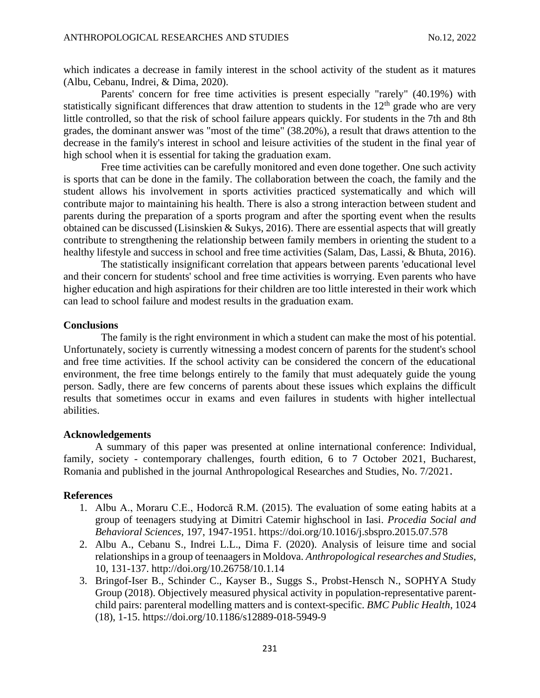which indicates a decrease in family interest in the school activity of the student as it matures (Albu, Cebanu, Indrei, & Dima, 2020).

Parents' concern for free time activities is present especially "rarely" (40.19%) with statistically significant differences that draw attention to students in the  $12<sup>th</sup>$  grade who are very little controlled, so that the risk of school failure appears quickly. For students in the 7th and 8th grades, the dominant answer was "most of the time" (38.20%), a result that draws attention to the decrease in the family's interest in school and leisure activities of the student in the final year of high school when it is essential for taking the graduation exam.

Free time activities can be carefully monitored and even done together. One such activity is sports that can be done in the family. The collaboration between the coach, the family and the student allows his involvement in sports activities practiced systematically and which will contribute major to maintaining his health. There is also a strong interaction between student and parents during the preparation of a sports program and after the sporting event when the results obtained can be discussed (Lisinskien & Sukys, 2016). There are essential aspects that will greatly contribute to strengthening the relationship between family members in orienting the student to a healthy lifestyle and success in school and free time activities (Salam, Das, Lassi, & Bhuta, 2016).

The statistically insignificant correlation that appears between parents 'educational level and their concern for students' school and free time activities is worrying. Even parents who have higher education and high aspirations for their children are too little interested in their work which can lead to school failure and modest results in the graduation exam.

### **Conclusions**

The family is the right environment in which a student can make the most of his potential. Unfortunately, society is currently witnessing a modest concern of parents for the student's school and free time activities. If the school activity can be considered the concern of the educational environment, the free time belongs entirely to the family that must adequately guide the young person. Sadly, there are few concerns of parents about these issues which explains the difficult results that sometimes occur in exams and even failures in students with higher intellectual abilities.

#### **Acknowledgements**

A summary of this paper was presented at online international conference: Individual, family, society - contemporary challenges, fourth edition, 6 to 7 October 2021, Bucharest, Romania and published in the journal Anthropological Researches and Studies, No. 7/2021.

#### **References**

- 1. Albu A., Moraru C.E., Hodorcă R.M. (2015). The evaluation of some eating habits at a group of teenagers studying at Dimitri Catemir highschool in Iasi. *Procedia Social and Behavioral Sciences*, 197, 1947-1951.<https://doi.org/10.1016/j.sbspro.2015.07.578>
- 2. Albu A., Cebanu S., Indrei L.L., Dima F. (2020). Analysis of leisure time and social relationships in a group of teenaagers in Moldova. *Anthropological researches and Studies*, 10, 131-137. http://doi.org/10.26758/10.1.14
- 3. Bringof-Iser B., Schinder C., Kayser B., Suggs S., Probst-Hensch N., SOPHYA Study Group (2018). Objectively measured physical activity in population-representative parentchild pairs: parenteral modelling matters and is context-specific. *BMC Public Health*, 1024 (18), 1-15. https://doi.org/10.1186/s12889-018-5949-9